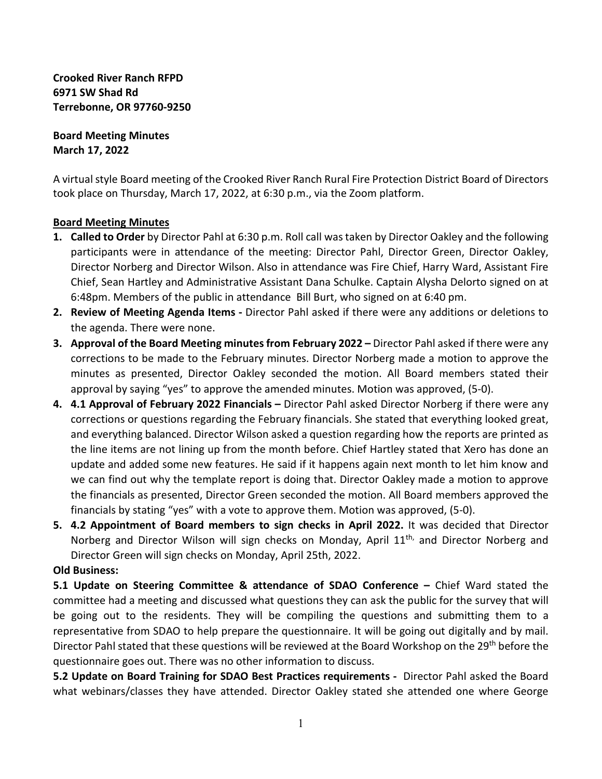**Crooked River Ranch RFPD 6971 SW Shad Rd Terrebonne, OR 97760-9250**

**Board Meeting Minutes March 17, 2022**

A virtual style Board meeting of the Crooked River Ranch Rural Fire Protection District Board of Directors took place on Thursday, March 17, 2022, at 6:30 p.m., via the Zoom platform.

## **Board Meeting Minutes**

- **1. Called to Order** by Director Pahl at 6:30 p.m. Roll call was taken by Director Oakley and the following participants were in attendance of the meeting: Director Pahl, Director Green, Director Oakley, Director Norberg and Director Wilson. Also in attendance was Fire Chief, Harry Ward, Assistant Fire Chief, Sean Hartley and Administrative Assistant Dana Schulke. Captain Alysha Delorto signed on at 6:48pm. Members of the public in attendance Bill Burt, who signed on at 6:40 pm.
- **2. Review of Meeting Agenda Items** Director Pahl asked if there were any additions or deletions to the agenda. There were none.
- **3. Approval of the Board Meeting minutes from February 2022** Director Pahl asked if there were any corrections to be made to the February minutes. Director Norberg made a motion to approve the minutes as presented, Director Oakley seconded the motion. All Board members stated their approval by saying "yes" to approve the amended minutes. Motion was approved, (5-0).
- **4. 4.1 Approval of February 2022 Financials** Director Pahl asked Director Norberg if there were any corrections or questions regarding the February financials. She stated that everything looked great, and everything balanced. Director Wilson asked a question regarding how the reports are printed as the line items are not lining up from the month before. Chief Hartley stated that Xero has done an update and added some new features. He said if it happens again next month to let him know and we can find out why the template report is doing that. Director Oakley made a motion to approve the financials as presented, Director Green seconded the motion. All Board members approved the financials by stating "yes" with a vote to approve them. Motion was approved, (5-0).
- **5. 4.2 Appointment of Board members to sign checks in April 2022.** It was decided that Director Norberg and Director Wilson will sign checks on Monday, April  $11<sup>th</sup>$ , and Director Norberg and Director Green will sign checks on Monday, April 25th, 2022.

## **Old Business:**

**5.1 Update on Steering Committee & attendance of SDAO Conference –** Chief Ward stated the committee had a meeting and discussed what questions they can ask the public for the survey that will be going out to the residents. They will be compiling the questions and submitting them to a representative from SDAO to help prepare the questionnaire. It will be going out digitally and by mail. Director Pahl stated that these questions will be reviewed at the Board Workshop on the 29<sup>th</sup> before the questionnaire goes out. There was no other information to discuss.

**5.2 Update on Board Training for SDAO Best Practices requirements -** Director Pahl asked the Board what webinars/classes they have attended. Director Oakley stated she attended one where George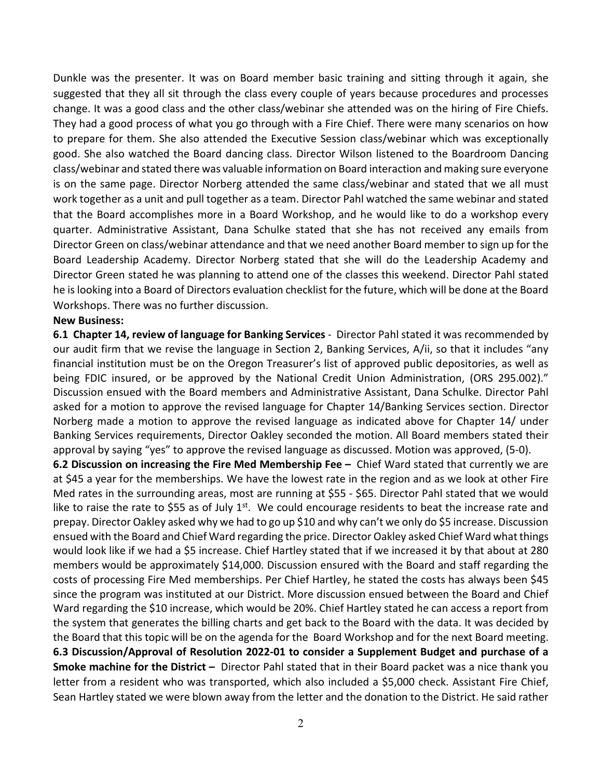Dunkle was the presenter. It was on Board member basic training and sitting through it again, she suggested that they all sit through the class every couple of years because procedures and processes change. It was a good class and the other class/webinar she attended was on the hiring of Fire Chiefs. They had a good process of what you go through with a Fire Chief. There were many scenarios on how to prepare for them. She also attended the Executive Session class/webinar which was exceptionally good. She also watched the Board dancing class. Director Wilson listened to the Boardroom Dancing class/webinar and stated there was valuable information on Board interaction and making sure everyone is on the same page. Director Norberg attended the same class/webinar and stated that we all must work together as a unit and pull together as a team. Director Pahl watched the same webinar and stated that the Board accomplishes more in a Board Workshop, and he would like to do a workshop every quarter. Administrative Assistant, Dana Schulke stated that she has not received any emails from Director Green on class/webinar attendance and that we need another Board member to sign up for the Board Leadership Academy. Director Norberg stated that she will do the Leadership Academy and Director Green stated he was planning to attend one of the classes this weekend. Director Pahl stated he is looking into a Board of Directors evaluation checklist for the future, which will be done at the Board Workshops. There was no further discussion.

## **New Business:**

**6.1 Chapter 14, review of language for Banking Services** -Director Pahl stated it was recommended by our audit firm that we revise the language in Section 2, Banking Services, A/ii, so that it includes "any financial institution must be on the Oregon Treasurer's list of approved public depositories, as well as being FDIC insured, or be approved by the National Credit Union Administration, (ORS 295.002)." Discussion ensued with the Board members and Administrative Assistant, Dana Schulke. Director Pahl asked for a motion to approve the revised language for Chapter 14/Banking Services section. Director Norberg made a motion to approve the revised language as indicated above for Chapter 14/ under Banking Services requirements, Director Oakley seconded the motion. All Board members stated their approval by saying "yes" to approve the revised language as discussed. Motion was approved, (5-0).

**6.2 Discussion on increasing the Fire Med Membership Fee –** Chief Ward stated that currently we are at \$45 a year for the memberships. We have the lowest rate in the region and as we look at other Fire Med rates in the surrounding areas, most are running at \$55 - \$65. Director Pahl stated that we would like to raise the rate to \$55 as of July  $1<sup>st</sup>$ . We could encourage residents to beat the increase rate and prepay. Director Oakley asked why we had to go up \$10 and why can't we only do \$5 increase. Discussion ensued with the Board and Chief Ward regarding the price. Director Oakley asked Chief Ward what things would look like if we had a \$5 increase. Chief Hartley stated that if we increased it by that about at 280 members would be approximately \$14,000. Discussion ensured with the Board and staff regarding the costs of processing Fire Med memberships. Per Chief Hartley, he stated the costs has always been \$45 since the program was instituted at our District. More discussion ensued between the Board and Chief Ward regarding the \$10 increase, which would be 20%. Chief Hartley stated he can access a report from the system that generates the billing charts and get back to the Board with the data. It was decided by the Board that this topic will be on the agenda for the Board Workshop and for the next Board meeting. **6.3 Discussion/Approval of Resolution 2022-01 to consider a Supplement Budget and purchase of a Smoke machine for the District –** Director Pahl stated that in their Board packet was a nice thank you letter from a resident who was transported, which also included a \$5,000 check. Assistant Fire Chief, Sean Hartley stated we were blown away from the letter and the donation to the District. He said rather